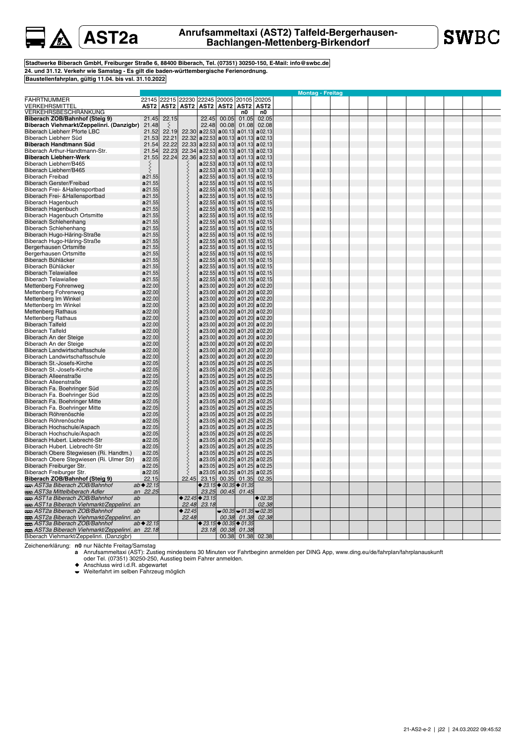## **AST2a Anrufsammeltaxi (AST2) Talfeld-Bergerhausen-Bachlangen-Mettenberg-Birkendorf**

### **Stadtwerke Biberach GmbH, Freiburger Straße 6, 88400 Biberach, Tel. (07351) 30250-150, E-Mail: info@swbc.de 24. und 31.12. Verkehr wie Samstag - Es gilt die baden-württembergische Ferienordnung. Baustellenfahrplan, gültig 11.04. bis vsl. 31.10.2022**

|                                               |                            |                                           |                       |                                     |                                                                             |                                                 |                                                          | <b>Montag - Freitag</b> |  |  |  |  |  |
|-----------------------------------------------|----------------------------|-------------------------------------------|-----------------------|-------------------------------------|-----------------------------------------------------------------------------|-------------------------------------------------|----------------------------------------------------------|-------------------------|--|--|--|--|--|
| <b>FAHRTNUMMER</b>                            |                            | 22145 22215 22230 22245 20005 20105 20205 |                       |                                     |                                                                             |                                                 |                                                          |                         |  |  |  |  |  |
| VERKEHRSMITTEL                                | AST2                       | AST <sub>2</sub>                          | AST <sub>2</sub>      | AST <sub>2</sub>                    | AST <sub>2</sub>                                                            | AST <sub>2</sub>                                | AST <sub>2</sub>                                         |                         |  |  |  |  |  |
| VERKEHRSBESCHRÄNKUNG                          |                            |                                           |                       |                                     |                                                                             | n0                                              | n0                                                       |                         |  |  |  |  |  |
| Biberach ZOB/Bahnhof (Steig 9)                | 21.45                      | 22,15                                     |                       | 22.45                               | 00.05                                                                       | 01.05                                           | 02.05                                                    |                         |  |  |  |  |  |
| Biberach Viehmarkt/Zeppelinri. (Danzigbr)     | 21.48                      | ξ                                         |                       | 22.48                               | 00.08                                                                       | 01.08                                           | 02.08                                                    |                         |  |  |  |  |  |
| Biberach Liebherr Pforte LBC                  | 21.52                      | 22.19                                     | 22.30                 | a22.53                              | a00.13                                                                      | a01.13                                          | a02.13                                                   |                         |  |  |  |  |  |
| Biberach Liebherr Süd                         | 21.53                      | 22.21                                     | 22.32                 | a22.53                              | a00.13                                                                      |                                                 | $a01.13$ $a02.13$                                        |                         |  |  |  |  |  |
| Biberach Handtmann Süd                        | 21.54                      | 22.22                                     |                       | $22.33$ a $22.53$                   | a00.13                                                                      |                                                 | $ $ a 01.13 a 02.13                                      |                         |  |  |  |  |  |
| Biberach Arthur-Handtmann-Str.                | 21.54                      | 22.23                                     | 22.34                 | a22.53                              |                                                                             | $a00.13$ a01.13 a02.13                          |                                                          |                         |  |  |  |  |  |
|                                               |                            |                                           |                       |                                     |                                                                             |                                                 |                                                          |                         |  |  |  |  |  |
| Biberach Liebherr-Werk                        | 21.55                      | 22.24                                     | 22.36                 | a22.53                              |                                                                             |                                                 | $ $ a 00.13 a 01.13 a 02.13                              |                         |  |  |  |  |  |
| Biberach Liebherr/B465                        |                            |                                           |                       |                                     | $a22.53$ a 00.13 a 01.13 a 02.13                                            |                                                 |                                                          |                         |  |  |  |  |  |
| Biberach Liebherr/B465                        |                            |                                           |                       | a22.53                              |                                                                             |                                                 | $a00.13$ a01.13 a02.13                                   |                         |  |  |  |  |  |
| <b>Biberach Freibad</b>                       | a21.55                     |                                           |                       | a22.55                              |                                                                             |                                                 | $a00.15$ a01.15 a02.15                                   |                         |  |  |  |  |  |
| Biberach Gerster/Freibad                      | a21.55                     |                                           |                       | a22.55                              |                                                                             |                                                 | $a00.15$ a01.15 a02.15                                   |                         |  |  |  |  |  |
| Biberach Frei- & Hallensportbad               | a21.55                     |                                           |                       | a22.55                              |                                                                             |                                                 | $a00.15$ a01.15 a02.15                                   |                         |  |  |  |  |  |
| Biberach Frei- & Hallensportbad               | a21.55                     |                                           |                       | a22.55                              |                                                                             |                                                 | $a00.15$ a01.15 a02.15                                   |                         |  |  |  |  |  |
| Biberach Hagenbuch                            | a21.55                     |                                           |                       |                                     | $a22.55$ a00.15 a01.15 a02.15                                               |                                                 |                                                          |                         |  |  |  |  |  |
| <b>Biberach Hagenbuch</b>                     | a21.55                     |                                           |                       |                                     | $a22.55$ a00.15 a01.15 a02.15                                               |                                                 |                                                          |                         |  |  |  |  |  |
| Biberach Hagenbuch Ortsmitte                  | a21.55                     |                                           |                       | a22.55                              |                                                                             |                                                 | $a00.15$ a01.15 a02.15                                   |                         |  |  |  |  |  |
| <b>Biberach Schlehenhang</b>                  | a21.55                     |                                           |                       | a22.55                              |                                                                             |                                                 | $a00.15$ a01.15 a02.15                                   |                         |  |  |  |  |  |
| Biberach Schlehenhang                         | a 21.55                    |                                           |                       | a22.55                              |                                                                             |                                                 | $a00.15$ a01.15 a02.15                                   |                         |  |  |  |  |  |
| Biberach Hugo-Häring-Straße                   | a21.55                     |                                           |                       | a22.55                              |                                                                             |                                                 | $a00.15$ a01.15 a02.15                                   |                         |  |  |  |  |  |
| Biberach Hugo-Häring-Straße                   | a21.55                     |                                           |                       | a22.55                              |                                                                             | $a00.15$ a01.15 a02.15                          |                                                          |                         |  |  |  |  |  |
| Bergerhausen Ortsmitte                        | a21.55                     |                                           |                       |                                     | $a22.55$ a00.15 a01.15 a02.15                                               |                                                 |                                                          |                         |  |  |  |  |  |
| Bergerhausen Ortsmitte                        | a21.55                     |                                           |                       |                                     | $a22.55$ a00.15 a01.15 a02.15                                               |                                                 |                                                          |                         |  |  |  |  |  |
| Biberach Bühläcker                            |                            |                                           |                       |                                     |                                                                             |                                                 |                                                          |                         |  |  |  |  |  |
|                                               | a21.55                     |                                           |                       | a22.55                              |                                                                             |                                                 | $\mathbf{a}$ 00.15 $\mathbf{a}$ 01.15 $\mathbf{a}$ 02.15 |                         |  |  |  |  |  |
| Biberach Bühläcker                            | a21.55                     |                                           |                       |                                     | $a22.55$ a00.15 a01.15 a02.15                                               |                                                 |                                                          |                         |  |  |  |  |  |
| <b>Biberach Telawiallee</b>                   | a21.55                     |                                           |                       |                                     | $a22.55$ a00.15 a01.15 a02.15                                               |                                                 |                                                          |                         |  |  |  |  |  |
| <b>Biberach Telawiallee</b>                   | a21.55                     |                                           |                       | a22.55                              |                                                                             | $a00.15$ a01.15 a02.15                          |                                                          |                         |  |  |  |  |  |
| Mettenberg Fohrenweg                          | a 22.00                    |                                           |                       |                                     | $a23.00$ a 00.20 a 01.20 a 02.20                                            |                                                 |                                                          |                         |  |  |  |  |  |
| Mettenberg Fohrenweg                          | a 22.00                    |                                           |                       |                                     | $a23.00$ a 00.20 a 01.20 a 02.20                                            |                                                 |                                                          |                         |  |  |  |  |  |
| Mettenberg Im Winkel                          | a22.00                     |                                           |                       |                                     | $a23.00$ a 00.20 a 01.20 a 02.20                                            |                                                 |                                                          |                         |  |  |  |  |  |
| Mettenberg Im Winkel                          | a 22.00                    |                                           |                       |                                     | a 23.00 a 00.20 a 01.20 a 02.20                                             |                                                 |                                                          |                         |  |  |  |  |  |
| <b>Mettenberg Rathaus</b>                     | a 22.00                    |                                           |                       |                                     | a 23.00 a 00.20 a 01.20 a 02.20                                             |                                                 |                                                          |                         |  |  |  |  |  |
| Mettenberg Rathaus                            | a 22.00                    |                                           |                       |                                     | a23.00 a00.20 a01.20 a02.20                                                 |                                                 |                                                          |                         |  |  |  |  |  |
| <b>Biberach Talfeld</b>                       | a 22.00                    |                                           |                       |                                     | a23.00 a00.20 a01.20 a02.20                                                 |                                                 |                                                          |                         |  |  |  |  |  |
| <b>Biberach Talfeld</b>                       | a 22.00                    |                                           |                       |                                     | a 23.00 a 00.20 a 01.20 a 02.20                                             |                                                 |                                                          |                         |  |  |  |  |  |
| Biberach An der Steige                        | a 22.00                    |                                           |                       |                                     | a 23.00 a 00.20 a 01.20 a 02.20                                             |                                                 |                                                          |                         |  |  |  |  |  |
| Biberach An der Steige                        | a 22.00                    |                                           |                       |                                     | a 23.00 a 00.20 a 01.20 a 02.20                                             |                                                 |                                                          |                         |  |  |  |  |  |
| Biberach Landwirtschaftsschule                | a22.00                     |                                           |                       |                                     | $a23.00$ a 00.20 a 01.20 a 02.20                                            |                                                 |                                                          |                         |  |  |  |  |  |
| Biberach Landwirtschaftsschule                | a 22.00                    |                                           |                       |                                     | a 23.00 a 00.20 a 01.20 a 02.20                                             |                                                 |                                                          |                         |  |  |  |  |  |
| Biberach St.-Josefs-Kirche                    | a 22.05                    |                                           |                       |                                     | a 23.05 a 00.25 a 01.25 a 02.25                                             |                                                 |                                                          |                         |  |  |  |  |  |
| Biberach St.-Josefs-Kirche                    | a 22.05                    |                                           |                       |                                     | a23.05 a00.25 a01.25 a02.25                                                 |                                                 |                                                          |                         |  |  |  |  |  |
| Biberach Alleenstraße                         | a22.05                     |                                           |                       |                                     | $a23.05$ a 00.25 a 01.25 a 02.25                                            |                                                 |                                                          |                         |  |  |  |  |  |
| Biberach Alleenstraße                         | a 22.05                    |                                           |                       |                                     | $a23.05$ a 00.25 a 01.25 a 02.25                                            |                                                 |                                                          |                         |  |  |  |  |  |
| Biberach Fa. Boehringer Süd                   | a 22.05                    |                                           |                       |                                     | $\mathbf{a}$ 23.05 $\mathbf{a}$ 00.25 $\mathbf{a}$ 01.25 $\mathbf{a}$ 02.25 |                                                 |                                                          |                         |  |  |  |  |  |
| Biberach Fa. Boehringer Süd                   | a 22.05                    |                                           |                       |                                     | $a23.05$ a 00.25 a 01.25 a 02.25                                            |                                                 |                                                          |                         |  |  |  |  |  |
|                                               |                            |                                           |                       |                                     |                                                                             |                                                 |                                                          |                         |  |  |  |  |  |
| Biberach Fa. Boehringer Mitte                 | a 22.05                    |                                           |                       |                                     | $a23.05$ a00.25 a01.25 a02.25                                               |                                                 |                                                          |                         |  |  |  |  |  |
| Biberach Fa. Boehringer Mitte                 | a 22.05                    |                                           |                       |                                     | a23.05 a00.25 a01.25 a02.25                                                 |                                                 |                                                          |                         |  |  |  |  |  |
| Biberach Röhrenöschle                         | a 22.05                    |                                           |                       |                                     | a23.05 a00.25 a01.25 a02.25                                                 |                                                 |                                                          |                         |  |  |  |  |  |
| Biberach Röhrenöschle                         | a 22.05                    |                                           |                       |                                     | $a23.05$ a00.25 a01.25 a02.25                                               |                                                 |                                                          |                         |  |  |  |  |  |
| Biberach Hochschule/Aspach                    | a 22.05                    |                                           |                       |                                     | $\mathbf{a}$ 23.05 $\mathbf{a}$ 00.25 $\mathbf{a}$ 01.25 $\mathbf{a}$ 02.25 |                                                 |                                                          |                         |  |  |  |  |  |
| Biberach Hochschule/Aspach                    | a 22.05                    |                                           |                       |                                     | $\mathbf{a}$ 23.05 $\mathbf{a}$ 00.25 $\mathbf{a}$ 01.25 $\mathbf{a}$ 02.25 |                                                 |                                                          |                         |  |  |  |  |  |
| Biberach Hubert. Liebrecht-Str                | a 22.05                    |                                           |                       |                                     | $\mathbf{a}$ 23.05 $\mathbf{a}$ 00.25 $\mathbf{a}$ 01.25 $\mathbf{a}$ 02.25 |                                                 |                                                          |                         |  |  |  |  |  |
| Biberach Hubert. Liebrecht-Str                | a 22.05                    |                                           |                       |                                     | $a23.05$ a00.25 a01.25 a02.25                                               |                                                 |                                                          |                         |  |  |  |  |  |
| Biberach Obere Stegwiesen (Ri. Handtm.)       | a 22.05                    |                                           |                       |                                     | $a23.05$ a00.25 a01.25 a02.25                                               |                                                 |                                                          |                         |  |  |  |  |  |
| Biberach Obere Stegwiesen (Ri. Ulmer Str)     | a22.05                     |                                           |                       | a23.05                              |                                                                             | $a00.25$ a01.25 a02.25                          |                                                          |                         |  |  |  |  |  |
| Biberach Freiburger Str.                      | a 22.05                    |                                           |                       |                                     | $a23.05$ a00.25 a01.25 a02.25                                               |                                                 |                                                          |                         |  |  |  |  |  |
| Biberach Freiburger Str.                      | a 22.05                    |                                           |                       |                                     | $\mathbf{a}$ 23.05 $\mathbf{a}$ 00.25 $\mathbf{a}$ 01.25 $\mathbf{a}$ 02.25 |                                                 |                                                          |                         |  |  |  |  |  |
| Biberach ZOB/Bahnhof (Steig 9)                | 22.15                      |                                           | 22.45                 |                                     | 23.15 00.35 01.35                                                           |                                                 | 02.35                                                    |                         |  |  |  |  |  |
| AST3a Biberach ZOB/Bahnhof                    | $ab$ $\blacklozenge$ 22.15 |                                           |                       |                                     | $\blacklozenge$ 23.15 $\blacklozenge$ 00.35 $\blacklozenge$ 01.35           |                                                 |                                                          |                         |  |  |  |  |  |
| AST3a Mittelbiberach Adler                    | an 22.25                   |                                           |                       |                                     | 23.25 00.45 01.45                                                           |                                                 |                                                          |                         |  |  |  |  |  |
| AST1a Biberach ZOB/Bahnhof<br>ab              |                            |                                           |                       | $\triangle$ 22.45 $\triangle$ 23.15 |                                                                             |                                                 | $\bullet$ 02.35                                          |                         |  |  |  |  |  |
| AST1a Biberach Viehmarkt/Zeppelinri. an       |                            |                                           |                       | 22.48 23.18                         |                                                                             |                                                 | 02.38                                                    |                         |  |  |  |  |  |
| AST2a Biberach ZOB/Bahnhof<br>ab              |                            |                                           | $\blacklozenge$ 22.45 |                                     |                                                                             | $\bullet$ 00.35 $\bullet$ 01.35 $\bullet$ 02.35 |                                                          |                         |  |  |  |  |  |
| AST2a Biberach Viehmarkt/Zeppelinri. an       |                            |                                           | 22.48                 |                                     |                                                                             |                                                 | 00.38 01.38 02.38                                        |                         |  |  |  |  |  |
| AST3a Biberach ZOB/Bahnhof                    | $ab$ $\blacklozenge$ 22.15 |                                           |                       |                                     | $\triangle$ 23.15 $\triangle$ 00.35 $\triangle$ 01.35                       |                                                 |                                                          |                         |  |  |  |  |  |
| AST3a Biberach Viehmarkt/Zeppelinri. an 22.18 |                            |                                           |                       |                                     | 23.18 00.38 01.38                                                           |                                                 |                                                          |                         |  |  |  |  |  |
| Biberach Viehmarkt/Zeppelinri. (Danzigbr)     |                            |                                           |                       |                                     |                                                                             | 00.38 01.38                                     | 02.38                                                    |                         |  |  |  |  |  |
|                                               |                            |                                           |                       |                                     |                                                                             |                                                 |                                                          |                         |  |  |  |  |  |

A

Zeichenerklärung: n0 nur Nächte Freitag/Samstag<br>a Anrufsammeltaxi (AST): Zustieg mindestens 30 Minuten vor Fahrtbeginn anmelden per DING App, www.ding.eu/de/fahrplan/fahrplanauskunft<br>oder Tel. (07351) 30250-250, Ausstieg b

◆ Anschluss wird i.d.R. abgewartet Weiterfahrt im selben Fahrzeug möglich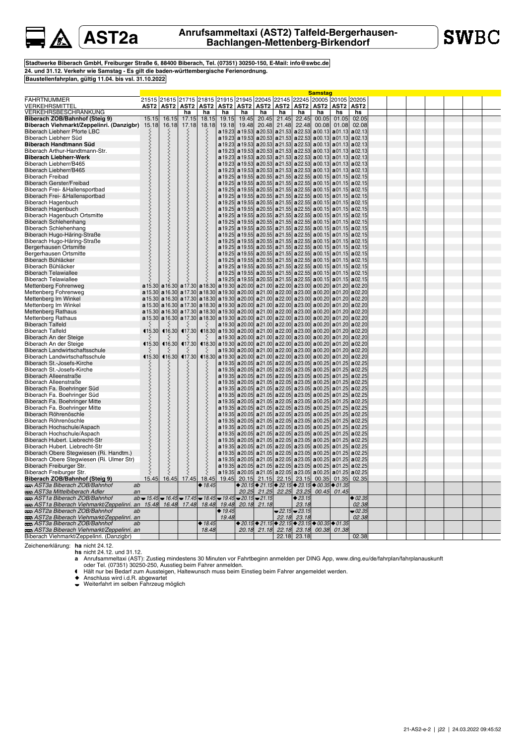## **AST2a** Anrufsammeltaxi (AST2) Talfeld-Bergerhausen-<br>Bachlangen-Mettenberg-Birkendorf **Bachlangen-Mettenberg-Birkendorf**

**SWBC** 

### **Stadtwerke Biberach GmbH, Freiburger Straße 6, 88400 Biberach, Tel. (07351) 30250-150, E-Mail: info@swbc.de 24. und 31.12. Verkehr wie Samstag - Es gilt die baden-württembergische Ferienordnung. Baustellenfahrplan, gültig 11.04. bis vsl. 31.10.2022**

|                                                                                     |         |                                     |             |                           |                       |                                                                                                                                      |       |                                                                                                                                     |                  | <b>Samstag</b>     |       |                 |  |  |  |
|-------------------------------------------------------------------------------------|---------|-------------------------------------|-------------|---------------------------|-----------------------|--------------------------------------------------------------------------------------------------------------------------------------|-------|-------------------------------------------------------------------------------------------------------------------------------------|------------------|--------------------|-------|-----------------|--|--|--|
| <b>FAHRTNUMMER</b>                                                                  |         |                                     |             |                           |                       |                                                                                                                                      |       | 21515 21615 21715 21815 21915 21945 22045 22145 22245 20005 20105 20205                                                             |                  |                    |       |                 |  |  |  |
| VERKEHRSMITTEL                                                                      |         | AST2 AST2                           |             | AST2   AST2   AST2   AST2 |                       |                                                                                                                                      |       | AST2 AST2                                                                                                                           |                  | AST2   AST2   AST2 |       | AST2            |  |  |  |
| <u>VERKEHRSBESCHRÄNKUNG</u>                                                         |         |                                     | ha          | ha                        | ha                    | <u>ha</u>                                                                                                                            | ha    | <u>ha</u>                                                                                                                           | <u>ha</u>        | <u>ha</u>          | hs    | hs              |  |  |  |
| Biberach ZOB/Bahnhof (Steig 9)                                                      | 15.15   | 16.15                               | 17.15       | 18.15                     | 19.15                 | 19.45                                                                                                                                | 20.45 | 21.45                                                                                                                               | 22.45            | 00.05              | 01.05 | 02.05           |  |  |  |
| Biberach Viehmarkt/Zeppelinri. (Danzigbr)                                           | 15.18   | 16, 18                              | 17,18       |                           | 19.18                 | 19.48                                                                                                                                | 20.48 | 21.48                                                                                                                               | 22.48            | 00.08              | 01.08 | 02.08           |  |  |  |
| Biberach Liebherr Pforte LBC                                                        |         |                                     |             | 18,18                     |                       | a 19.23 a 19.53                                                                                                                      |       | a 20.53 a 21.53 a 22.53 a 00.13 a 01.13                                                                                             |                  |                    |       |                 |  |  |  |
|                                                                                     |         |                                     |             |                           |                       |                                                                                                                                      |       |                                                                                                                                     |                  |                    |       | a02.13          |  |  |  |
| Biberach Liebherr Süd                                                               |         |                                     |             |                           |                       |                                                                                                                                      |       | a 19.23 a 19.53 a 20.53 a 21.53 a 22.53 a 00.13 a 01.13 a 02.13                                                                     |                  |                    |       |                 |  |  |  |
| Biberach Handtmann Süd                                                              |         |                                     |             |                           |                       |                                                                                                                                      |       | a 19.23 a 19.53 a 20.53 a 21.53 a 22.53 a 00.13 a 01.13 a 02.13                                                                     |                  |                    |       |                 |  |  |  |
| Biberach Arthur-Handtmann-Str.                                                      |         |                                     |             |                           |                       |                                                                                                                                      |       | <b>a</b> 19.23 <b>a</b> 19.53 <b>a</b> 20.53 <b>a</b> 21.53 <b>a</b> 22.53 <b>a</b> 00.13 <b>a</b> 01.13 <b>a</b> 02.13             |                  |                    |       |                 |  |  |  |
| <b>Biberach Liebherr-Werk</b>                                                       |         |                                     |             |                           |                       |                                                                                                                                      |       | <b>a</b> 19.23 <b>a</b> 19.53 <b>a</b> 20.53 <b>a</b> 21.53 <b>a</b> 22.53 <b>a</b> 00.13 <b>a</b> 01.13 <b>a</b> 02.13             |                  |                    |       |                 |  |  |  |
| Biberach Liebherr/B465                                                              |         |                                     |             |                           |                       |                                                                                                                                      |       | <b>a</b> 19.23 <b>a</b> 19.53 <b>a</b> 20.53 <b>a</b> 21.53 <b>a</b> 22.53 <b>a</b> 00.13 <b>a</b> 01.13 <b>a</b> 02.13             |                  |                    |       |                 |  |  |  |
| Biberach Liebherr/B465                                                              |         |                                     |             |                           |                       |                                                                                                                                      |       | a 19.23 a 19.53 a 20.53 a 21.53 a 22.53 a 00.13 a 01.13 a 02.13                                                                     |                  |                    |       |                 |  |  |  |
| <b>Biberach Freibad</b>                                                             |         |                                     |             |                           |                       |                                                                                                                                      |       | a 19.25 a 19.55 a 20.55 a 21.55 a 22.55 a 00.15 a 01.15 a 02.15                                                                     |                  |                    |       |                 |  |  |  |
| <b>Biberach Gerster/Freibad</b>                                                     |         |                                     |             |                           |                       |                                                                                                                                      |       | a 19.25 a 19.55 a 20.55 a 21.55 a 22.55 a 00.15 a 01.15 a 02.15                                                                     |                  |                    |       |                 |  |  |  |
| Biberach Frei- & Hallensportbad                                                     |         |                                     |             |                           |                       |                                                                                                                                      |       | a 19.25 a 19.55 a 20.55 a 21.55 a 22.55 a 00.15 a 01.15 a 02.15                                                                     |                  |                    |       |                 |  |  |  |
| Biberach Frei- & Hallensportbad                                                     |         |                                     |             |                           |                       |                                                                                                                                      |       | a 19.25 a 19.55 a 20.55 a 21.55 a 22.55 a 00.15 a 01.15 a 02.15                                                                     |                  |                    |       |                 |  |  |  |
| Biberach Hagenbuch                                                                  |         |                                     |             |                           |                       |                                                                                                                                      |       | a 19.25 a 19.55 a 20.55 a 21.55 a 22.55 a 00.15 a 01.15 a 02.15                                                                     |                  |                    |       |                 |  |  |  |
| Biberach Hagenbuch                                                                  |         |                                     |             |                           |                       |                                                                                                                                      |       |                                                                                                                                     |                  |                    |       |                 |  |  |  |
|                                                                                     |         |                                     |             |                           |                       |                                                                                                                                      |       | a 19.25 a 19.55 a 20.55 a 21.55 a 22.55 a 00.15 a 01.15 a 02.15                                                                     |                  |                    |       |                 |  |  |  |
| Biberach Hagenbuch Ortsmitte                                                        |         |                                     |             |                           |                       |                                                                                                                                      |       | a 19.25 a 19.55 a 20.55 a 21.55 a 22.55 a 00.15 a 01.15 a 02.15                                                                     |                  |                    |       |                 |  |  |  |
| <b>Biberach Schlehenhang</b>                                                        |         |                                     |             |                           |                       |                                                                                                                                      |       | a 19.25 a 19.55 a 20.55 a 21.55 a 22.55 a 00.15 a 01.15 a 02.15                                                                     |                  |                    |       |                 |  |  |  |
| <b>Biberach Schlehenhang</b>                                                        |         |                                     |             |                           |                       |                                                                                                                                      |       | a 19.25 a 19.55 a 20.55 a 21.55 a 22.55 a 00.15 a 01.15 a 02.15                                                                     |                  |                    |       |                 |  |  |  |
| Biberach Hugo-Häring-Straße                                                         |         |                                     |             |                           |                       |                                                                                                                                      |       | <b>a</b> 19.25 <b>a</b> 19.55 <b>a</b> 20.55 <b>a</b> 21.55 <b>a</b> 22.55 <b>a</b> 00.15 <b>a</b> 01.15 <b>a</b> 02.15             |                  |                    |       |                 |  |  |  |
| Biberach Hugo-Häring-Straße                                                         |         |                                     |             |                           |                       |                                                                                                                                      |       | a 19.25 a 19.55 a 20.55 a 21.55 a 22.55 a 00.15 a 01.15 a 02.15                                                                     |                  |                    |       |                 |  |  |  |
| Bergerhausen Ortsmitte                                                              |         |                                     |             |                           |                       |                                                                                                                                      |       | a 19.25 a 19.55 a 20.55 a 21.55 a 22.55 a 00.15 a 01.15 a 02.15                                                                     |                  |                    |       |                 |  |  |  |
| Bergerhausen Ortsmitte                                                              |         |                                     |             |                           |                       |                                                                                                                                      |       | a 19.25 a 19.55 a 20.55 a 21.55 a 22.55 a 00.15 a 01.15 a 02.15                                                                     |                  |                    |       |                 |  |  |  |
| Biberach Bühläcker                                                                  |         |                                     |             |                           |                       |                                                                                                                                      |       | a 19.25 a 19.55 a 20.55 a 21.55 a 22.55 a 00.15 a 01.15 a 02.15                                                                     |                  |                    |       |                 |  |  |  |
| Biberach Bühläcker                                                                  |         |                                     |             |                           |                       |                                                                                                                                      |       | a 19.25 a 19.55 a 20.55 a 21.55 a 22.55 a 00.15 a 01.15 a 02.15                                                                     |                  |                    |       |                 |  |  |  |
| <b>Biberach Telawiallee</b>                                                         |         |                                     |             |                           |                       |                                                                                                                                      |       | a 19.25 a 19.55 a 20.55 a 21.55 a 22.55 a 00.15 a 01.15 a 02.15                                                                     |                  |                    |       |                 |  |  |  |
| <b>Biberach Telawiallee</b>                                                         |         |                                     |             |                           |                       |                                                                                                                                      |       | a 19.25 a 19.55 a 20.55 a 21.55 a 22.55 a 00.15 a 01.15 a 02.15                                                                     |                  |                    |       |                 |  |  |  |
|                                                                                     |         |                                     |             |                           |                       |                                                                                                                                      |       |                                                                                                                                     |                  |                    |       |                 |  |  |  |
| Mettenberg Fohrenweg                                                                | a 15.30 |                                     |             |                           |                       |                                                                                                                                      |       | a 16.30 a 17.30 a 18.30 a 19.30 a 20.00 a 21.00 a 22.00 a 23.00 a 00.20 a 01.20 a 02.20                                             |                  |                    |       |                 |  |  |  |
| Mettenberg Fohrenweg                                                                |         |                                     |             |                           |                       |                                                                                                                                      |       | a 15.30 a 16.30 a 17.30 a 18.30 a 19.30 a 20.00 a 21.00 a 22.00 a 23.00 a 00.20 a 01.20 a 02.20                                     |                  |                    |       |                 |  |  |  |
| Mettenberg Im Winkel                                                                |         |                                     |             |                           |                       |                                                                                                                                      |       | a 15.30 a 16.30 a 17.30 a 18.30 a 19.30 a 20.00 a 21.00 a 22.00 a 23.00 a 00.20 a 01.20 a 02.20                                     |                  |                    |       |                 |  |  |  |
| Mettenberg Im Winkel                                                                | a 15.30 |                                     |             |                           |                       |                                                                                                                                      |       | a 16.30 a 17.30 a 18.30 a 19.30 a 20.00 a 21.00 a 22.00 a 23.00 a 00.20 a 01.20 a 02.20                                             |                  |                    |       |                 |  |  |  |
| <b>Mettenberg Rathaus</b>                                                           | a 15.30 |                                     |             |                           |                       |                                                                                                                                      |       | a 16.30 a 17.30 a 18.30 a 19.30 a 20.00 a 21.00 a 22.00 a 23.00 a 00.20 a 01.20 a 02.20                                             |                  |                    |       |                 |  |  |  |
| Mettenberg Rathaus                                                                  | a 15.30 |                                     |             |                           |                       |                                                                                                                                      |       | a 16.30 a 17.30 a 18.30 a 19.30 a 20.00 a 21.00 a 22.00 a 23.00 a 00.20 a 01.20 a 02.20                                             |                  |                    |       |                 |  |  |  |
| <b>Biberach Talfeld</b>                                                             | ξ       |                                     |             |                           |                       |                                                                                                                                      |       | a 19.30 a 20.00 a 21.00 a 22.00 a 23.00 a 00.20 a 01.20 a 02.20                                                                     |                  |                    |       |                 |  |  |  |
| <b>Biberach Talfeld</b>                                                             | €15.30  | (16.30)                             | (17.30)     |                           |                       |                                                                                                                                      |       | <b>(18.30 a 19.30 a 20.00 a 21.00 a 22.00 a 23.00 a 00.20 a 01.20 a 02.20</b>                                                       |                  |                    |       |                 |  |  |  |
| Biberach An der Steige                                                              | ξ       |                                     |             |                           |                       |                                                                                                                                      |       | a 19.30 a 20.00 a 21.00 a 22.00 a 23.00 a 00.20 a 01.20 a 02.20                                                                     |                  |                    |       |                 |  |  |  |
| Biberach An der Steige                                                              | 115.30  | (16.30)                             | 17.30       |                           |                       |                                                                                                                                      |       | $(18.30)$ a 19.30 a 20.00 a 21.00 a 22.00 a 23.00 a 00.20 a 01.20 a 02.20                                                           |                  |                    |       |                 |  |  |  |
| Biberach Landwirtschaftsschule                                                      | ξ       |                                     |             |                           |                       |                                                                                                                                      |       | a 19.30 a 20.00 a 21.00 a 22.00 a 23.00 a 00.20 a 01.20 a 02.20                                                                     |                  |                    |       |                 |  |  |  |
| Biberach Landwirtschaftsschule                                                      |         |                                     | (17.30)     |                           |                       |                                                                                                                                      |       |                                                                                                                                     |                  |                    |       |                 |  |  |  |
|                                                                                     | €15.30  | 16.30                               |             | €18.30                    |                       |                                                                                                                                      |       | a 19.30 a 20.00 a 21.00 a 22.00 a 23.00 a 00.20 a 01.20 a 02.20                                                                     |                  |                    |       |                 |  |  |  |
| Biberach St.-Josefs-Kirche                                                          |         |                                     |             |                           |                       |                                                                                                                                      |       | a 19.35 a 20.05 a 21.05 a 22.05 a 23.05 a 00.25 a 01.25 a 02.25                                                                     |                  |                    |       |                 |  |  |  |
| Biberach St.-Josefs-Kirche                                                          |         |                                     |             |                           |                       |                                                                                                                                      |       | a 19.35 a 20.05 a 21.05 a 22.05 a 23.05 a 00.25 a 01.25 a 02.25                                                                     |                  |                    |       |                 |  |  |  |
| Biberach Alleenstraße                                                               |         |                                     |             |                           |                       |                                                                                                                                      |       | a 19.35 a 20.05 a 21.05 a 22.05 a 23.05 a 00.25 a 01.25 a 02.25                                                                     |                  |                    |       |                 |  |  |  |
| <b>Biberach Alleenstraße</b>                                                        |         |                                     |             |                           |                       |                                                                                                                                      |       | <b>a</b> 19.35 <b>a</b> 20.05 <b>a</b> 21.05 <b>a</b> 22.05 <b>a</b> 23.05 <b>a</b> 00.25 <b>a</b> 01.25 <b>a</b> 02.25             |                  |                    |       |                 |  |  |  |
| Biberach Fa. Boehringer Süd                                                         |         |                                     |             |                           |                       |                                                                                                                                      |       | a 19.35 a 20.05 a 21.05 a 22.05 a 23.05 a 00.25 a 01.25 a 02.25                                                                     |                  |                    |       |                 |  |  |  |
| Biberach Fa. Boehringer Süd                                                         |         |                                     |             |                           |                       |                                                                                                                                      |       | a 19.35 a 20.05 a 21.05 a 22.05 a 23.05 a 00.25 a 01.25 a 02.25                                                                     |                  |                    |       |                 |  |  |  |
| Biberach Fa. Boehringer Mitte                                                       |         |                                     |             |                           |                       |                                                                                                                                      |       | a 19.35 a 20.05 a 21.05 a 22.05 a 23.05 a 00.25 a 01.25 a 02.25                                                                     |                  |                    |       |                 |  |  |  |
| Biberach Fa. Boehringer Mitte                                                       |         |                                     |             |                           |                       |                                                                                                                                      |       | a 19.35 a 20.05 a 21.05 a 22.05 a 23.05 a 00.25 a 01.25 a 02.25                                                                     |                  |                    |       |                 |  |  |  |
| Biberach Röhrenöschle                                                               |         | くくくくくくくくくくくくくくくくくくくくくくくくくくくくくくくくくくく |             |                           |                       |                                                                                                                                      |       | a 19.35 a 20.05 a 21.05 a 22.05 a 23.05 a 00.25 a 01.25 a 02.25                                                                     |                  |                    |       |                 |  |  |  |
| Biberach Röhrenöschle                                                               |         |                                     |             |                           |                       |                                                                                                                                      |       | a 19.35   a 20.05   a 21.05   a 22.05   a 23.05   a 00.25   a 01.25   a 02.25                                                       |                  |                    |       |                 |  |  |  |
| Biberach Hochschule/Aspach                                                          |         |                                     |             |                           |                       |                                                                                                                                      |       | a 19.35 a 20.05 a 21.05 a 22.05 a 23.05 a 00.25 a 01.25 a 02.25                                                                     |                  |                    |       |                 |  |  |  |
|                                                                                     |         |                                     |             |                           |                       |                                                                                                                                      |       |                                                                                                                                     |                  |                    |       |                 |  |  |  |
| Biberach Hochschule/Aspach                                                          |         |                                     |             |                           |                       |                                                                                                                                      |       | a 19.35   a 20.05   a 21.05   a 22.05   a 23.05   a 00.25   a 01.25   a 02.25                                                       |                  |                    |       |                 |  |  |  |
| Biberach Hubert. Liebrecht-Str                                                      |         |                                     |             |                           |                       |                                                                                                                                      |       | a 19.35 a 20.05 a 21.05 a 22.05 a 23.05 a 00.25 a 01.25 a 02.25                                                                     |                  |                    |       |                 |  |  |  |
| Biberach Hubert. Liebrecht-Str                                                      |         |                                     |             |                           |                       |                                                                                                                                      |       | a 19.35 a 20.05 a 21.05 a 22.05 a 23.05 a 00.25 a 01.25 a 02.25                                                                     |                  |                    |       |                 |  |  |  |
| Biberach Obere Stegwiesen (Ri. Handtm.)                                             |         |                                     |             |                           |                       |                                                                                                                                      |       | a 19.35 a 20.05 a 21.05 a 22.05 a 23.05 a 00.25 a 01.25 a 02.25                                                                     |                  |                    |       |                 |  |  |  |
| Biberach Obere Stegwiesen (Ri. Ulmer Str)                                           |         |                                     |             |                           |                       |                                                                                                                                      |       | a 19.35 a 20.05 a 21.05 a 22.05 a 23.05 a 00.25 a 01.25 a 02.25                                                                     |                  |                    |       |                 |  |  |  |
| Biberach Freiburger Str.                                                            |         |                                     |             |                           |                       |                                                                                                                                      |       | a 19.35 a 20.05 a 21.05 a 22.05 a 23.05 a 00.25 a 01.25 a 02.25                                                                     |                  |                    |       |                 |  |  |  |
| Biberach Freiburger Str.                                                            |         |                                     |             |                           |                       |                                                                                                                                      |       | a 19.35 a 20.05 a 21.05 a 22.05 a 23.05 a 00.25 a 01.25 a 02.25                                                                     |                  |                    |       |                 |  |  |  |
| Biberach ZOB/Bahnhof (Steig 9)                                                      | 15.45   |                                     | 16.45 17.45 | 18.45                     | 19.45                 |                                                                                                                                      |       | 20.15 21.15 22.15 23.15 00.35 01.35                                                                                                 |                  |                    |       | 02.35           |  |  |  |
| AST3a Biberach ZOB/Bahnhof<br>ab                                                    |         |                                     |             | $\blacklozenge$ 18.45     |                       |                                                                                                                                      |       | $\blacklozenge$ 20.15 $\blacklozenge$ 21.15 $\blacklozenge$ 22.15 $\blacklozenge$ 23.15 $\blacklozenge$ 00.35 $\blacklozenge$ 01.35 |                  |                    |       |                 |  |  |  |
| AST3a Mittelbiberach Adler<br>an                                                    |         |                                     |             |                           |                       |                                                                                                                                      |       | 20.25 21.25 22.25 23.25 00.45 01.45                                                                                                 |                  |                    |       |                 |  |  |  |
| AST1a Biberach ZOB/Bahnhof                                                          |         |                                     |             |                           |                       | $ab = 15.45$ $\rightarrow$ 16.45 $\rightarrow$ 17.45 $\rightarrow$ 18.45 $\rightarrow$ 19.45 $\rightarrow$ 20.15 $\rightarrow$ 21.15 |       |                                                                                                                                     | ◆ $23.15$        |                    |       | $\bullet$ 02.35 |  |  |  |
| 15.48 19.48 20.18 21.18 15.48 16.48 17.48 17.48 18.48 19.48 19.48 19.48 20.18 21.18 |         |                                     |             |                           |                       |                                                                                                                                      |       |                                                                                                                                     | 23.18            |                    |       | 02.38           |  |  |  |
|                                                                                     |         |                                     |             |                           |                       |                                                                                                                                      |       |                                                                                                                                     |                  |                    |       |                 |  |  |  |
| AST2a Biberach ZOB/Bahnhof<br>ab                                                    |         |                                     |             |                           | $\blacklozenge$ 19.45 |                                                                                                                                      |       |                                                                                                                                     | $-22.15 - 23.15$ |                    |       | $\bullet$ 02.35 |  |  |  |
| AST2a Biberach Viehmarkt/Zeppelinri. an                                             |         |                                     |             |                           | 19.48                 |                                                                                                                                      |       |                                                                                                                                     | 22.18 23.18      |                    |       | 02.38           |  |  |  |
| AST3a Biberach ZOB/Bahnhof<br>ab                                                    |         |                                     |             | $* 18.45$                 |                       |                                                                                                                                      |       | $\bullet$ 20.15 $\bullet$ 21.15 $\bullet$ 22.15 $\bullet$ 23.15 $\bullet$ 00.35 $\bullet$ 01.35                                     |                  |                    |       |                 |  |  |  |
| ==== AST3a Biberach Viehmarkt/Zeppelinri. an                                        |         |                                     |             | 18.48                     |                       |                                                                                                                                      |       | 20.18 21.18 22.18 23.18 00.38 01.38                                                                                                 |                  |                    |       |                 |  |  |  |
| Biberach Viehmarkt/Zeppelinri. (Danzigbr)                                           |         |                                     |             |                           |                       |                                                                                                                                      |       |                                                                                                                                     | 22.18 23.18      |                    |       | 02.38           |  |  |  |

Zeichenerklärung: **ha** nicht 24.12.

A

**hs** nicht 24.12. und 31.12.<br>a Anrufsammeltaxi (AST): Zustieg mindestens 30 Minuten vor Fahrtbeginn anmelden per DING App, www.ding.eu/de/fahrplan/fahrplanauskunft<br>oder Tel. (07351) 30250-250, Ausstieg beim Fahrer anmelde